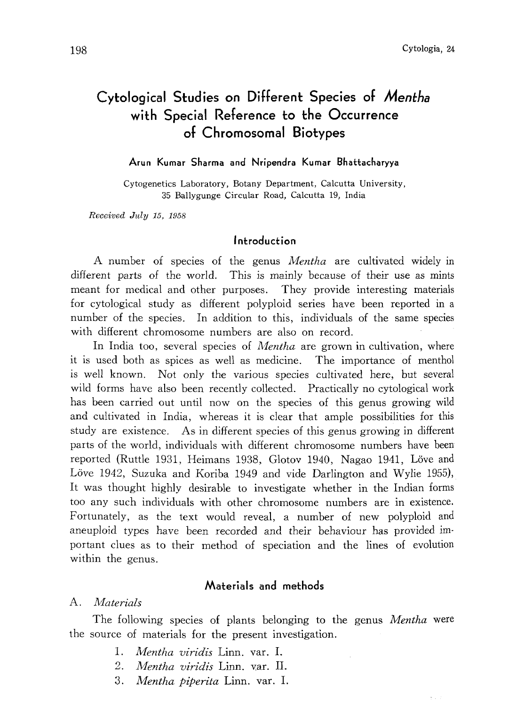# Cytological Studies on Different Species of Mentha with Special Reference to the Occurrence of Chromosomal Biotypes

#### Arun Kumar Sharma and Nripendra Kumar Bhattacharyya

Cytogenetics Laboratory, Botany Department, Calcutta University, 35 Ballygunge Circular Road, Calcutta 19, India

Received July 15, 1958

## Introduction

A number of species of the genus Mentha are cultivated widely in different parts of the world. This is mainly because of their use as mints meant for medical and other purposes. They provide interesting materials for cytological study as different polyploid series have been reported in a number of the species. In addition to this, individuals of the same species with different chromosome numbers are also on record.

In India too, several species of *Mentha* are grown in cultivation, where it is used both as spices as well as medicine. The importance of menthol is well known. Not only the various species cultivated here, but several wild forms have also been recently collected. Practically no cytological work has been carried out until now on the species of this genus growing wild and cultivated in India, whereas it is clear that ample possibilities for this study are existence. As in different species of this genus growing in different parts of the world, individuals with different chromosome numbers have been reported (Ruttle 1931, Heimans 1938, Glotov 1940, Nagao 1941, Löve and Löve 1942, Suzuka and Koriba 1949 and vide Darlington and Wylie 1955), It was thought highly desirable to investigate whether in the Indian forms too any such individuals with other chromosome numbers are in existence. Fortunately, as the text would reveal, a number of new polyploid and aneuploid types have been recorded and their behaviour has provided im portant clues as to their method of speciation and the lines of evolution within the genus.

# Materials and methods

## A. Materials

The following species of plants belonging to the genus *Mentha* were the source of materials for the present investigation.

- 1. Mentha viridis Linn. var. I.
- 2. Mentha viridis Linn. var. II.
- 3. Mentha piperita Linn. var. I.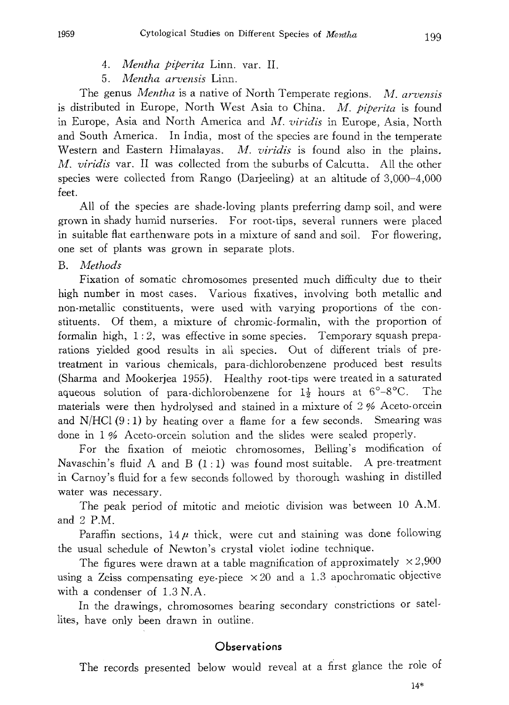- 4. Mentha piperita Linn. var. II.
- 5. Mentha arvensis Linn.

The genus Mentha is a native of North Temperate regions. M. arvensis is distributed in Europe, North West Asia to China. M. piperita is found in Europe, Asia and North America and M. viridis in Europe, Asia, North and South America. In India, most of the species are found in the temperate Western and Eastern Himalayas. M. viridis is found also in the plains. M. viridis var. II was collected from the suburbs of Calcutta. All the other species were collected from Rango (Darjeeling) at an altitude of 3,000-4,000 feet.

All of the species are shade-loving plants preferring damp soil, and were grown in shady humid nurseries. For root-tips, several runners were placed in suitable flat earthenware pots in a mixture of sand and soil. For flowering, one set of plants was grown in separate plots.

B. Methods

Fixation of somatic chromosomes presented much difficulty due to their high number in most cases. Various fixatives, involving both metallic and non-metallic constituents, were used with varying proportions of the con stituents. Of them, a mixture of chromic-formalin, with the proportion of formalin high, 1:2, was effective in some species. Temporary squash prepa rations yielded good results in all species. Out of different trials of pre treatment in various chemicals, para-dichlorobenzene produced best results (Sharma and Mookerjea 1955). Healthy root-tips were treated in a saturated aqueous solution of para-dichlorobenzene for  $1\frac{1}{2}$  hours at  $6^{\circ}-8^{\circ}$ C. The materials were then hydrolysed and stained in a mixture of 2% Aceto-orcein and  $N/HCl$  (9:1) by heating over a flame for a few seconds. Smearing was done in 1% Aceto-orcein solution and the slides were sealed properly.

For the fixation of meiotic chromosomes, Belling's modification of Navaschin's fluid A and B  $(1:1)$  was found most suitable. A pre-treatment in Carnoy's fluid for a few seconds followed by thorough washing in distilled water was necessary.

The peak period of mitotic and meiotic division was between 10 A.M. and  $2$  P.M.

Paraffin sections,  $14\mu$  thick, were cut and staining was done following the usual schedule of Newton's crystal violet iodine technique.

The figures were drawn at a table magnification of approximately  $\times 2,900$ using a Zeiss compensating eye-piece  $\times 20$  and a 1.3 apochromatic objective with a condenser of  $1.3 N.A$ .

In the drawings, chromosomes bearing secondary constrictions or satel lites, have only been drawn in outline.

#### **Observations**

The records presented below would reveal at a first glance the role of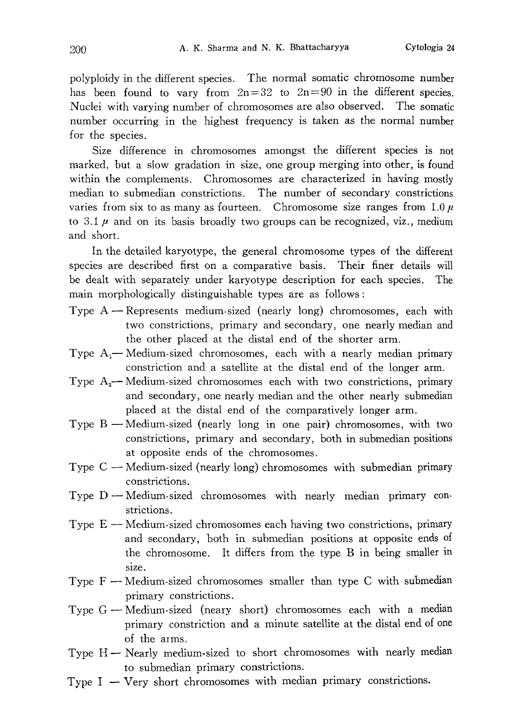polyploidy in the different species. The normal somatic chromosome number has been found to vary from  $2n=32$  to  $2n=90$  in the different species. Nuclei with varying number of chromosomes are also observed. The somatic number occurring in the highest frequency is taken as the normal number for the species.

Size difference in chromosomes amongst the different species is not marked, but a slow gradation in size, one group merging into other, is found within the complements. Chromosomes are characterized in having mostly median to submedian constrictions. The number of secondary constrictions varies from six to as many as fourteen. Chromosome size ranges from  $1.0 \mu$ to 3.1  $\mu$  and on its basis broadly two groups can be recognized, viz., medium and short.

In the detailed karyotype, the general chromosome types of the different species are described first on a comparative basis. Their finer details will be dealt with separately under karyotype description for each species. The main morphologically distinguishable types are as follows:

- Type  $A$  Represents medium-sized (nearly long) chromosomes, each with two constrictions, primary and secondary, one nearly median and the other placed at the distal end of the shorter arm.
- Type  $A_1$  Medium-sized chromosomes, each with a nearly median primary constriction and a satellite at the distal end of the longer arm.
- Type  $A_2$  Medium-sized chromosomes each with two constrictions, primary and secondary, one nearly median and the other nearly submedian placed at the distal end of the comparatively longer arm.
- Type  $B$  Medium-sized (nearly long in one pair) chromosomes, with two constrictions, primary and secondary, both in submedian positions at opposite ends of the chromosomes.
- Type C Medium-sized (nearly long) chromosomes with submedian primary constrictions.
- Type  $D$  Medium-sized chromosomes with nearly median primary constrictions.
- Type E -- Medium-sized chromosomes each having two constrictions, primary and secondary, both in submedian positions at opposite ends of the chromosome. It differs from the type B in being smaller in size.
- Type  $F$  Medium-sized chromosomes smaller than type C with submedian primary constrictions.
- Type G-Medium-sized (neary short) chromosomes each with a median primary constriction and a minute satellite at the distal end of one of the arms.
- Type H- Nearly medium-sized to short chromosomes with nearly median to submedian primary constrictions.
- Type  $I V$ ery short chromosomes with median primary constrictions.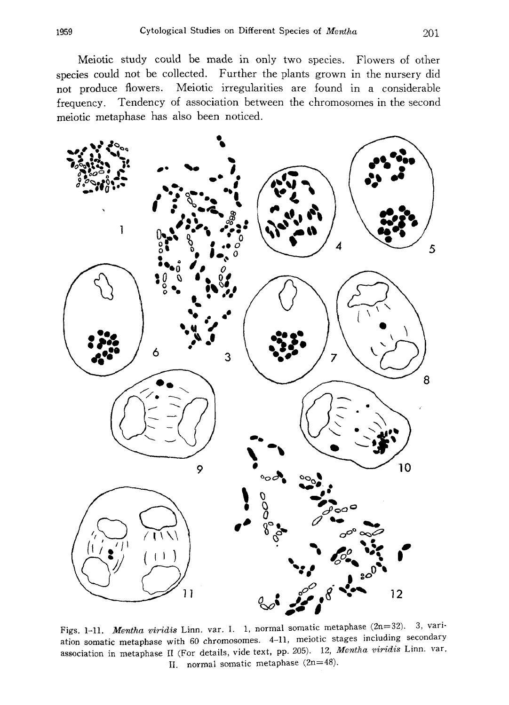Meiotic study could be made in only two species. Flowers of other species could not be collected. Further the plants grown in the nursery did not produce flowers. Meiotic irregularities are found in a considerable frequency. Tendency of association between the chromosomes in the second meiotic metaphase has also been noticed.



Figs. 1-11. Mentha viridis Linn. var. I. 1, normal somatic metaphase (2n=32). 3, vari ation somatic metaphase with 60 chromosomes. 4-11, meiotic stages including secondary association in metaphase II (For details, vide text, pp. 205). 12, Mentha viridis Linn. var, II. normal somatic metaphase (2n=48).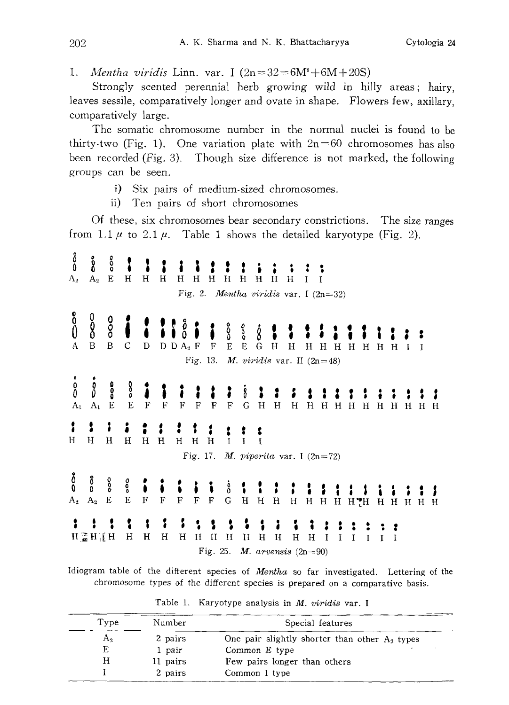1. *Mentha viridis* Linn. var. I  $(2n=32=6M^4+6M+20S)$ 

Strongly scented perennial herb growing wild in hilly areas; hairy, leaves sessile, comparatively longer and ovate in shape. Flowers few, axillary, comparatively large.

The somatic chromosome number in the normal nuclei is found to be thirty-two (Fig. 1). One variation plate with  $2n=60$  chromosomes has also been recorded (Fig. 3). Though size difference is not marked, the following groups can be seen.

- i) Six pairs of medium-sized chromosomes.
- ii) Ten pairs of short chromosomes

Of these, six chromosomes bear secondary constrictions. The size ranges from 1.1  $\mu$  to 2.1  $\mu$ . Table 1 shows the detailed karyotype (Fig. 2).

 $\delta_0^o$ စိ  $\ddot{\circ}$  $A_2$  E  $A_{\lambda}$  $H$   $H$   $H$  $H$ **НННННН**  $\mathbf H$  $\mathbf I$ Fig. 2. Mentha viridis var. I  $(2n=32)$  $\stackrel{8}{0}$  $\frac{0}{8}$  $\frac{0}{0}$ å နီ 8  $\overline{B}$  $\overline{B}$  $\mathbf C$  $D$   $D$   $A_2$   $F$  ${\bf D}$  $\mathbf{F}$ E E G H H H H H H H H I I Fig. 13. *M. viridis* var. II  $(2n=48)$  $\int_{0}^{b}$  $\mathring{0}$  $\frac{0}{0}$ °°  $A_1$  $A_1$  $\mathbf E$  $E$  $H$ H H H H  $_{\rm F}$  $\mathbf F$ F F F  $\mathbf F$ G  $H$  $H$  $H$  $H$  $H$ H H H И : t  $H$  $H$  $\mathbf H$  $\mathbf{H}$   $\mathbf{H}$  $\mathbf H$  $H$   $H$   $H$  $\bf I$  $\mathbf I$ I Fig. 17. M. piperita var. I  $(2n=72)$ ဂီ  $\rm{^o}_0$ oo<br>o ooo ė<br>0  $A_2$  $A_2$  $\bf E$  $\overline{E}$  $\mathbf F$  $\mathbf F$ G  $_{\rm F}$ F F  $H$  $H$  $H$  $\rm H$  $\mathbf H$  $H$   $H$   $H$  $H$ HHHHH 1 1 1 ٠. ĭ 3  $\rm H$  $\mathbf H$  $H$  $H \supseteq H$  if  $H$  $H$  $H$   $H$  $H$  $\mathbf H$  $H$  $H$ H Η  $\bf{I}$  $\mathbf I$ I  $\mathbf{I}$  $\mathbf{I}$ Fig. 25. *M. arvensis*  $(2n=90)$ 

Idiogram table of the different species of Mentha so far investigated. Lettering of the chromosome types of the different species is prepared on a comparative basis.

| Type | Number   | Special features                                 |  |
|------|----------|--------------------------------------------------|--|
| A.   | 2 pairs  | One pair slightly shorter than other $A_2$ types |  |
| E    | 1 pair   | Common E type                                    |  |
| н    | 11 pairs | Few pairs longer than others                     |  |
|      | 2 pairs  | Common I type                                    |  |

Table 1. Karyotype analysis in M. viridis var. I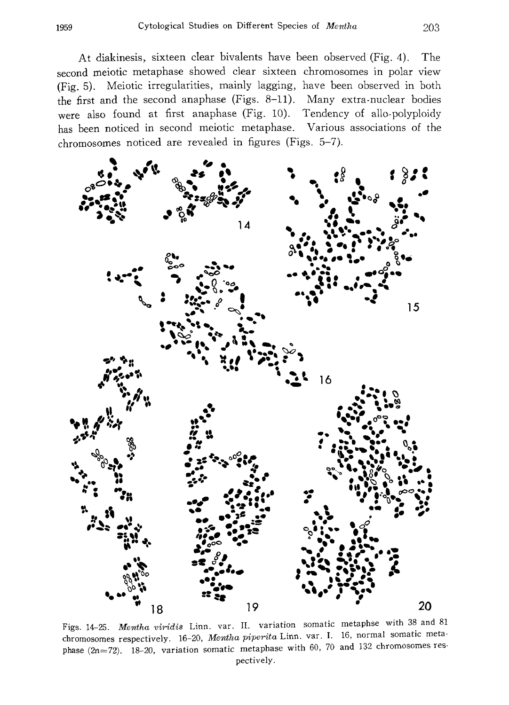At diakinesis, sixteen clear bivalents have been observed (Fig. 4). The second meiotic metaphase showed clear sixteen chromosomes in polar view (Fig. 5). Meiotic irregularities, mainly lagging, have been observed in both the first and the second anaphase (Figs. 8-11). Many extra.nuclear bodies were also found at first anaphase (Fig. 10). Tendency of allo-polyploidy has been noticed in second meiotic metaphase. Various associations of the chromosomes noticed are revealed in figures (Figs. 5-7).



Figs. 14-25. Mentha viridis Linn. var. II. variation somatic metaphse with 38 and 81 chromosomes respectively. 16-20, Mentha piperita Linn. var. I. 16, normal somatic meta phase (2n=72). 18-20, variation somatic metaphase with 60, 70 and 132 chromosomes res pectively.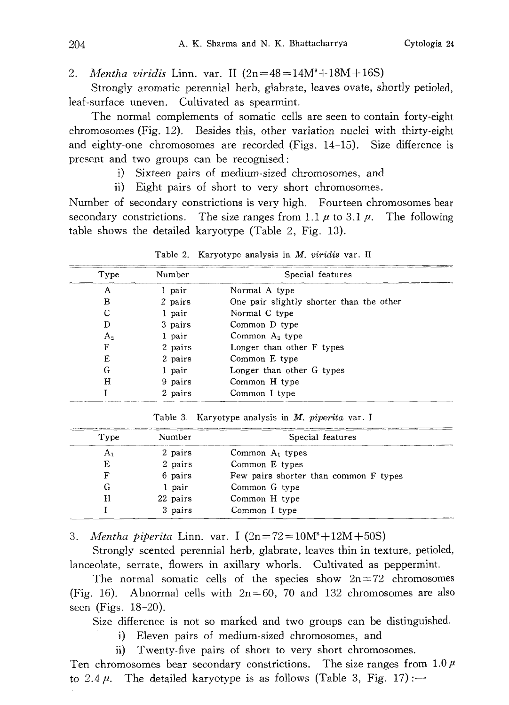2. Mentha viridis Linn. var. II  $(2n=48=14M^*+18M+16S)$ 

Strongly aromatic perennial herb, glabrate, leaves ovate, shortly petioled, leaf-surface uneven. Cultivated as spearmint.

The normal complements of somatic cells are seen to contain forty-eight chromosomes (Fig. 12). Besides this, other variation nuclei with thirty-eight and eighty-one chromosomes are recorded (Figs. 14-15). Size difference is present and two groups can be recognised:

i) Sixteen pairs of medium-sized chromosomes, and

ii) Eight pairs of short to very short chromosomes.

Number of secondary constrictions is very high. Fourteen chromosomes bear secondary constrictions. The size ranges from 1.1  $\mu$  to 3.1  $\mu$ . The following table shows the detailed karyotype (Table 2, Fig. 13).

| Type  | Number  | Special features                         |
|-------|---------|------------------------------------------|
| A     | 1 pair  | Normal A type                            |
| в     | 2 pairs | One pair slightly shorter than the other |
| С     | 1 pair  | Normal C type                            |
| D     | 3 pairs | Common D type                            |
| $A_2$ | 1 pair  | Common $A_2$ type                        |
| F     | 2 pairs | Longer than other F types                |
| E     | 2 pairs | Common E type                            |
| G     | 1 pair  | Longer than other G types                |
| Η     | 9 pairs | Common H type                            |
|       | 2 pairs | Common I type                            |

Table 2. Karyotype analysis in M. viridis var. II

Table 3. Karyotype analysis in  $M$ . piperita var. I

| Type | construction and disconsistency and CD Measurement are conselled a measurement consellation conservation<br>Number        | Special features                      |
|------|---------------------------------------------------------------------------------------------------------------------------|---------------------------------------|
|      | contract of the first state of the contract of the contract of the contract of the contract of the contract of<br>2 pairs | Common $A_1$ types                    |
| E    | 2 pairs                                                                                                                   | Common E types                        |
| F    | 6 pairs                                                                                                                   | Few pairs shorter than common F types |
|      | 1 pair                                                                                                                    | Common G type                         |
| н    | 22 pairs                                                                                                                  | Common H type                         |
|      | 3 pairs                                                                                                                   | Common I type                         |

3. *Mentha piperita* Linn. var. I  $(2n=72=10M^s+12M+50S)$ 

Strongly scented perennial herb, glabrate, leaves thin in texture, petioled, lanceolate, serrate, flowers in axillary whorls. Cultivated as peppermint.

The normal somatic cells of the species show  $2n=72$  chromosomes (Fig. 16). Abnormal cells with  $2n=60$ , 70 and 132 chromosomes are also seen (Figs. 18-20).

Size difference is not so marked and two groups can be distinguished.

i) Eleven pairs of medium-sized chromosomes, and

ii) Twenty-five pairs of short to very short chromosomes.

Ten chromosomes bear secondary constrictions. The size ranges from  $1.0 \mu$ to 2.4  $\mu$ . The detailed karyotype is as follows (Table 3, Fig. 17): -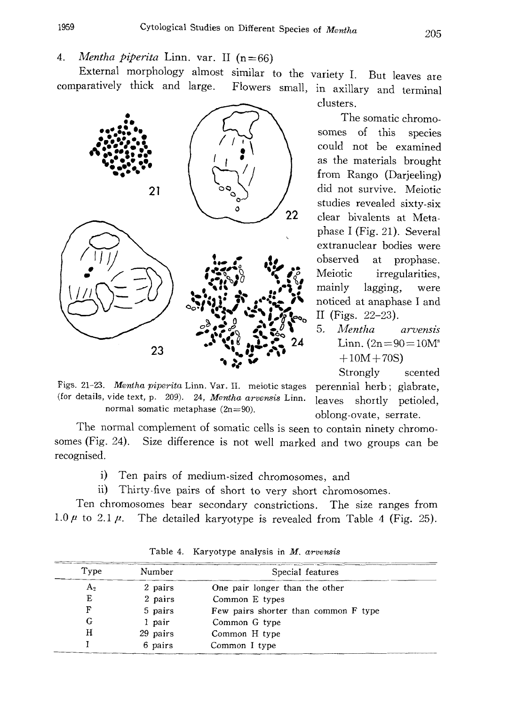4. *Mentha piperita* Linn. var. II  $(n=66)$ 

External morphology almost similar to the variety I . But leaves are comparatively thick and large. Flowers small, in axillary and terminal



clusters.

The somatic chromo somes of this species could not be examined as the materials brought from Rango (Darjeeling) did not survive. Meiotic studies revealed sixty-six clear bivalents at Meta phase I (Fig. 21). Several extranuclear bodies were observed at prophase. Meiotic irregularities, mainly lagging, were noticed at anaphase I and II (Figs. 22-23).

5. Mentha arvensis Linn.  $(2n=90=10M^s)$  $+10M+70S$ 

Strongly scented perennial herb; glabrate, leaves shortly petioled, oblong-ovate, serrate.

Figs. 21-23. Mentha piperita Linn. Var. II. meiotic stages (for details, vide text, p. 209). 24, Mentha arvensis Linn. normal somatic metaphase  $(2n=90)$ .

The normal complement of somatic cells is seen to contain ninety chromo somes (Fig. 24). Size difference is not well marked and two groups can be recognised.

- i) Ten pairs of medium-sized chromosomes, and
- ii) Thirty-five pairs of short to very short chromosomes.

Ten chromosomes bear secondary constrictions . The size ranges from 1.0  $\mu$  to 2.1  $\mu$ . The detailed karyotype is revealed from Table 4 (Fig. 25).

| Type | Number   | Special features                     |
|------|----------|--------------------------------------|
| A,   | 2 pairs  | One pair longer than the other       |
| Ε    | 2 pairs  | Common E types                       |
| F    | 5 pairs  | Few pairs shorter than common F type |
| G    | 1 pair   | Common G type                        |
| н    | 29 pairs | Common H type                        |
|      | 6 pairs  | Common I type                        |

Table 4. Karyotype analysis in M. arvensis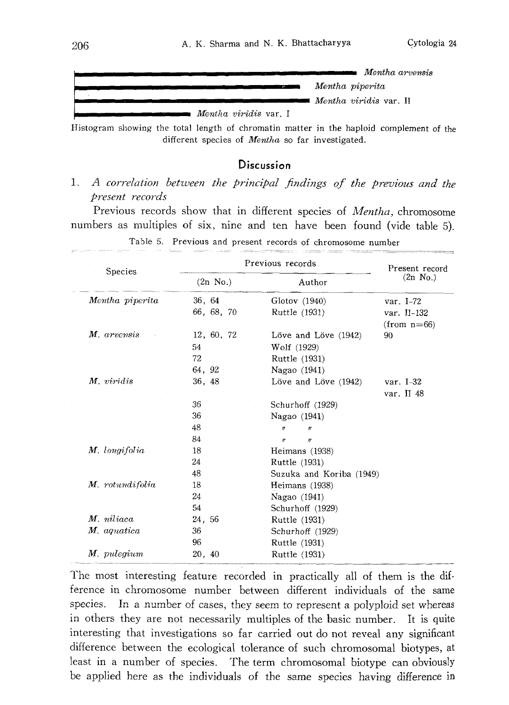

Histogram showing the total length of chromatin matter in the haploid complement of the different species of Mentha so far investigated.

#### **Discussion**

1. A correlation between the principal findings of the previous and the present records

Previous records show that in different species of Mentha, chromosome numbers as multiples of six, nine and ten have been found (vide table 5).

| Species         | Previous records   | Present record                       |                    |
|-----------------|--------------------|--------------------------------------|--------------------|
|                 | $(2n \text{ No.})$ | Author                               | $(2n \text{ No.})$ |
| Mentha piperita | 36, 64             | Glotov (1940)                        | var. $I-72$        |
|                 | 66, 68, 70         | Ruttle (1931)                        | var. II-132        |
|                 |                    |                                      | $(from n=66)$      |
| M. arvensis     | 12, 60, 72         | Löve and Löve (1942)                 | 90                 |
|                 | 54                 | Wolf (1929)                          |                    |
|                 | 72                 | Ruttle (1931)                        |                    |
|                 | 64, 92             | Nagao (1941)                         |                    |
| M. viridis      | 36, 48             | Löve and Löve (1942)                 | var. $I-32$        |
|                 |                    |                                      | var. II 48         |
|                 | 36                 | Schurhoff (1929)                     |                    |
|                 | 36                 | Nagao (1941)                         |                    |
|                 | 48                 | $\theta$<br>$^{\prime\prime}$        |                    |
|                 | 84                 | $\boldsymbol{r}$<br>$\boldsymbol{H}$ |                    |
| M. longifolia   | 18                 | Heimans (1938)                       |                    |
|                 | 24                 | Ruttle (1931)                        |                    |
|                 | 48                 | Suzuka and Koriba (1949)             |                    |
| M. rotundifolia | 18                 | Heimans (1938)                       |                    |
|                 | 24                 | Nagao (1941)                         |                    |
|                 | 54                 | Schurhoff (1929)                     |                    |
| M. niliaca      | 24, 56             | Ruttle (1931)                        |                    |
| M. aquatica     | 36                 | Schurhoff (1929)                     |                    |
|                 | 96                 | Ruttle (1931)                        |                    |
| M. pulegium     | 20, 40             | Ruttle (1931)                        |                    |

Table 5. Previous and present records of chromosome number

The most interesting feature recorded in practically all of them is the dif ference in chromosome number between different individuals of the same species. In a number of cases, they seem to represent a polyploid set whereas in others they are not necessarily multiples of the basic number. It is quite interesting that investigations so far carried out do not reveal any significant difference between the ecological tolerance of such chromosomal biotypes, at least in a number of species. The term chromosomal biotype can obviously be applied here as the individuals of the same species having difference in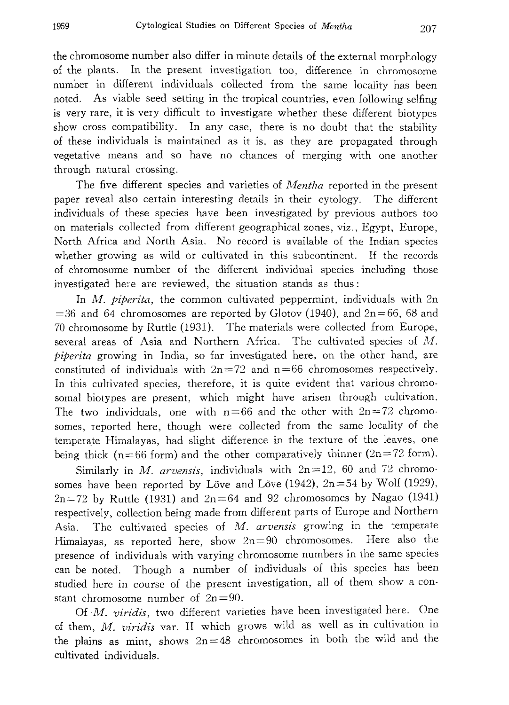the chromosome number also differ in minute details of the external morphology of the plants. In the present investigation too, difference in chromosome number in different individuals collected from the same locality has been noted. As viable seed setting in the tropical countries, even following selfing is very rare, it is very difficult to investigate whether these different biotypes show cross compatibility. In any case, there is no doubt that the stability of these individuals is maintained as it is, as they are propagated through vegetative means and so have no chances of merging with one another through natural crossing.

The five different species and varieties of *Mentha* reported in the present paper reveal also certain interesting details in their cytology. The different individuals of these species have been investigated by previous authors too on materials collected from different geographical zones, viz., Egypt, Europe, North Africa and North Asia. No record is available of the Indian species whether growing as wild or cultivated in this subcontinent. If the records of chromosome number of the different individual species including those investigated here are reviewed, the situation stands as thus:

In  $M$ , *piperita*, the common cultivated peppermint, individuals with  $2n$  $=36$  and 64 chromosomes are reported by Glotov (1940), and  $2n=66$ , 68 and 70 chromosome by Ruttle (1931). The materials were collected from Europe, several areas of Asia and Northern Africa. The cultivated species of M. piperita growing in India, so far investigated here, on the other hand, are constituted of individuals with  $2n=72$  and  $n=66$  chromosomes respectively. In this cultivated species, therefore, it is quite evident that various chromo somal biotypes are present, which might have arisen through cultivation. The two individuals, one with  $n=66$  and the other with  $2n=72$  chromosomes, reported here, though were collected from the same locality of the temperate Himalayas, had slight difference in the texture of the leaves, one being thick (n=66 form) and the other comparatively thinner (2n=72 form).

Similarly in M. arvensis, individuals with  $2n=12$ , 60 and 72 chromosomes have been reported by Löve and Löve (1942),  $2n=54$  by Wolf (1929),  $2n=72$  by Ruttle (1931) and  $2n=64$  and 92 chromosomes by Nagao (1941) respectively, collection being made from different parts of Europe and Northern Asia. The cultivated species of M. arvensis growing in the temperate Himalayas, as reported here, show 2n=90 chromosomes, Here also the presence of individuals with varying chromosome numbers in the same species can be noted. Though a number of individuals of this species has been studied here in course of the present investigation, all of them show a con stant chromosome number of  $2n=90$ .

Of M. viridis, two different varieties have been investigated here. One of them, M. viridis var. II which grows wild as well as in cultivation in the plains as mint, shows  $2n=48$  chromosomes in both the wild and the cultivated individuals.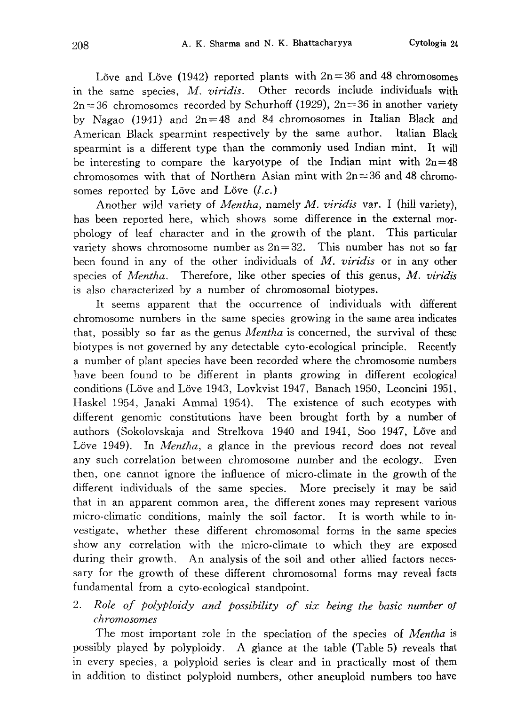Löve and Löve (1942) reported plants with  $2n=36$  and 48 chromosomes in the same species, M. viridis. Other records include individuals with  $2n=36$  chromosomes recorded by Schurhoff (1929),  $2n=36$  in another variety by Nagao (1941) and  $2n=48$  and 84 chromosomes in Italian Black and American Black spearmint respectively by the same author, Italian Black spearmint is a different type than the commonly used Indian mint. It will be interesting to compare the karyotype of the Indian mint with  $2n=48$ chromosomes with that of Northern Asian mint with  $2n=36$  and 48 chromosomes reported by Löve and Löve  $(l.c.)$ 

Another wild variety of *Mentha*, namely *M. viridis* var. I (hill variety), has been reported here, which shows some difference in the external mor phology of leaf character and in the growth of the plant. This particular variety shows chromosome number as  $2n=32$ . This number has not so far been found in any of the other individuals of M. viridis or in any other species of *Mentha*. Therefore, like other species of this genus,  $M$ . *viridis* is also characterized by a number of chromosomal biotypes.

It seems apparent that the occurrence of individuals with different chromosome numbers in the same species growing in the same area indicates that, possibly so far as the genus *Mentha* is concerned, the survival of these biotypes is not governed by any detectable cyto-ecological principle. Recently a number of plant species have been recorded where the chromosome numbers have been found to be different in plants growing in different ecological conditions (Löve and Löve 1943, Lovkvist 1947, Banach 1950, Leoncini 1951, Haskel 1954, Janaki Ammal 1954). The existence of such ecotypes with different genomic constitutions have been brought forth by a number of authors (Sokolovskaja and Strelkova 1940 and 1941, Soo 1947, Löve and Löve 1949). In *Mentha*, a glance in the previous record does not reveal any such correlation between chromosome number and the ecology. Even then, one cannot ignore the influence of micro-climate in the growth of the different individuals of the same species. More precisely it may be said that in an apparent common area, the different zones may represent various micro-climatic conditions, mainly the soil factor. It is worth while to in vestigate, whether these different chromosomal forms in the same species show any correlation with the micro-climate to which they are exposed during their growth. An analysis of the soil and other allied factors necessary for the growth of these different chromosomal forms may reveal facts fundamental from a cyto-ecological standpoint.

2. Role of polyploidy and possibility of six being the basic number of chromosomes

The most important role in the speciation of the species of *Mentha* is possibly played by polyploidy. A glance at the table (Table 5) reveals that in every species, a polyploid series is clear and in practically most of them in addition to distinct polyploid numbers, other aneuploid numbers too have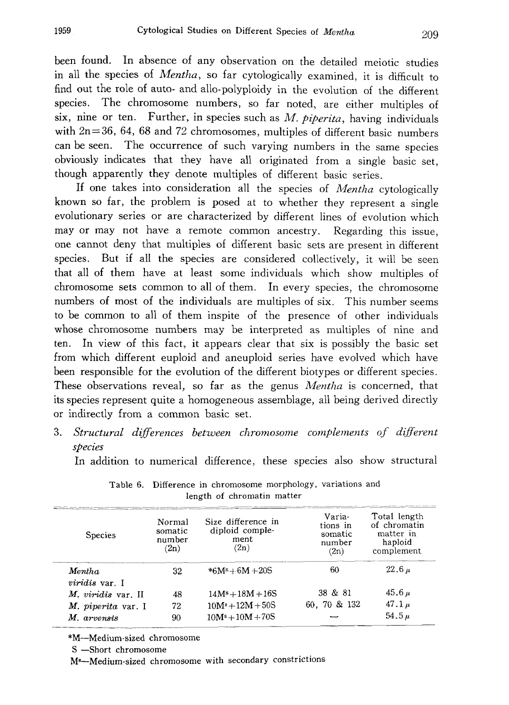been found. In absence of any observation on the detailed meiotic studies in all the species of Mentha, so far cytologically examined, it is difficult to find out the role of auto- and allo-polyploidy in the evolution of the different species. The chromosome numbers, so far noted, are either multiples of six, nine or ten. Further, in species such as  $M.$  piperita, having individuals with 2n=36, 64, 68 and 72 chromosomes, multiples of different basic numbers can be seen. The occurrence of such varying numbers in the same species obviously indicates that they have all originated from a single basic set, though apparently they denote multiples of different basic series .

If one takes into consideration all the species of Mentha cytologically known so far, the problem is posed at to whether they represent a single evolutionary series or are characterized by different lines of evolution which may or may not have a remote common ancestry. Regarding this issue, one cannot deny that multiples of different basic sets are present in different species. But if all the species are considered collectively, it will be seen that all of them have at least some individuals which show multiples of chromosome sets common to all of them. In every species, the chromosome numbers of most of the individuals are multiples of six. This number seems to be common to all of them inspite of the presence of other individuals whose chromosome numbers may be interpreted as multiples of nine and ten. In view of this fact, it appears clear that six is possibly the basic set from which different euploid and aneuploid series have evolved which have been responsible for the evolution of the different biotypes or different species. These observations reveal, so far as the genus *Mentha* is concerned, that its species represent quite a homogeneous assemblage, all being derived directly or indirectly from a common basic set.

3. Structural differences between chromosome complements of different species

In addition to numerical difference, these species also show structural

| <b>Species</b>     | Normal<br>somatic<br>number<br>(2n) | Size difference in<br>diploid comple-<br>ment<br>(2n) | Varia-<br>tions in<br>somatic<br>number<br>(2n) | Total length<br>of chromatin<br>matter in<br>haploid<br>complement |
|--------------------|-------------------------------------|-------------------------------------------------------|-------------------------------------------------|--------------------------------------------------------------------|
| Mentha             | 32                                  | * $6M^s + 6M + 20S$                                   | 60                                              | $22.6\,\mu$                                                        |
| viridis var. I     |                                     |                                                       |                                                 |                                                                    |
| M. viridis var. II | 48                                  | $14Ms + 18M + 16S$                                    | 38 & 81                                         | $45.6 \mu$                                                         |
| M. piperita var. I | 72                                  | $10M^3 + 12M + 50S$                                   | 60, 70 & 132                                    | 47.1 $\mu$                                                         |
| M. arvensis        | 90                                  | $10Ms + 10M + 70S$                                    |                                                 | 54.5 $\mu$                                                         |

Table 6. Difference in chromosome morphology, variations and length of chromatin matter

\* M-Medium-sized chromosome

S -Short chromosome

M8-Medium-sized chromosome with secondary constrictions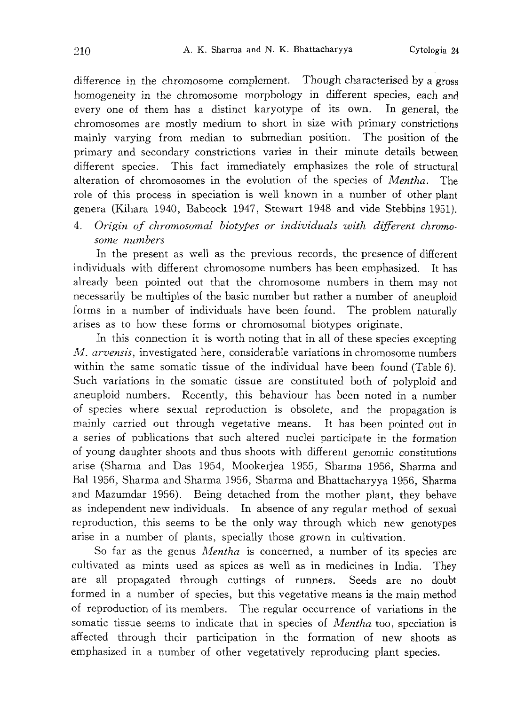difference in the chromosome complement. Though characterised by a gross homogeneity in the chromosome morphology in different species, each and every one of them has a distinct karyotype of its own. In general, the chromosomes are mostly medium to short in size with primary constrictions mainly varying from median to submedian position. The position of the primary and secondary constrictions varies in their minute details between different species. This fact immediately emphasizes the role of structural alteration of chromosomes in the evolution of the species of Mentha. The role of this process in speciation is well known in a number of other plant genera (Kihara 1940, Babcock 1947, Stewart 1948 and vide Stebbins 1951).

4. Origin of chromosomal biotypes or individuals with different chromo some numbers

In the present as well as the previous records, the presence of different individuals with different chromosome numbers has been emphasized. It has already been pointed out that the chromosome numbers in them may not necessarily be multiples of the basic number but rather a number of aneuploid forms in a number of individuals have been found. The problem naturally arises as to how these forms or chromosomal biotypes originate.

In this connection it is worth noting that in all of these species excepting M. arvensis, investigated here, considerable variations in chromosome numbers within the same somatic tissue of the individual have been found (Table 6). Such variations in the somatic tissue are constituted both of polyploid and aneuploid numbers. Recently, this behaviour has been noted in a number of species where sexual reproduction is obsolete, and the propagation is mainly carried out through vegetative means. It has been pointed out in a series of publications that such altered nuclei participate in the formation of young daughter shoots and thus shoots with different genomic constitutions arise (Sharma and Das 1954, Mookerjea 1955, Sharma 1956, Sharma and Bal 1956, Sharma and Sharma 1956, Sharma and Bhattacharyya 1956, Sharma and Mazumdar 1956). Being detached from the mother plant, they behave as independent new individuals. In absence of any regular method of sexual reproduction, this seems to be the only way through which new genotypes arise in a number of plants, specially those grown in cultivation.

So far as the genus *Mentha* is concerned, a number of its species are cultivated as mints used as spices as well as in medicines in India. They are all propagated through cuttings of runners. Seeds are no doubt formed in a number of species, but this vegetative means is the main method of reproduction of its members. The regular occurrence of variations in the somatic tissue seems to indicate that in species of *Mentha* too, speciation is affected through their participation in the formation of new shoots as emphasized in a number of other vegetatively reproducing plant species.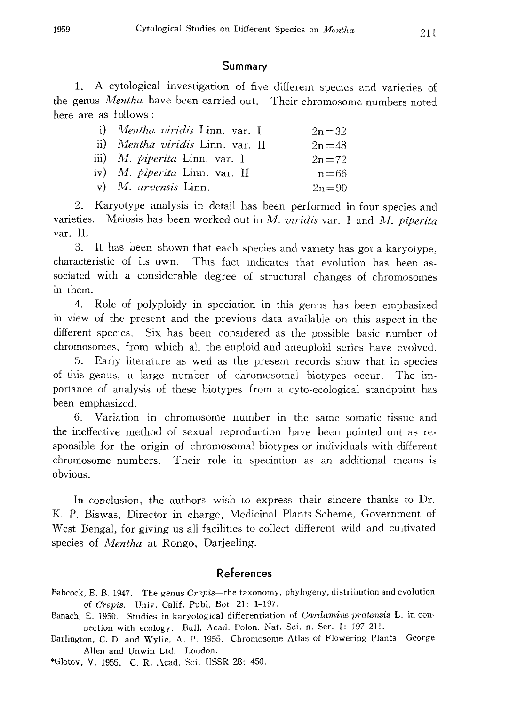#### Summary

1. A cytological investigation of five different species and varieties of the genus Mentha have been carried out. Their chromosome numbers noted here are as follows:

| i) Mentha viridis Linn. var. I       | $2n = 32$ |
|--------------------------------------|-----------|
| ii) Mentha viridis Linn. var. II     | $2n = 48$ |
| iii) <i>M. piperita</i> Linn. var. I | $2n = 72$ |
| iv) M. <i>piperita</i> Linn. var. II | $n = 66$  |
| $v)$ <i>M. arvensis</i> Linn.        | $2n = 90$ |

2. Karyotype analysis in detail has been performed in four species and varieties. Meiosis has been worked out in  $M$ . viridis var. I and  $M$ . piperita var. II.

3. It has been shown that each species and variety has got a karyotype, characteristic of its own. This fact indicates that evolution has been as sociated with a considerable degree of structural changes of chromosomes in them.

4. Role of polyploidy in speciation in this genus has been emphasized in view of the present and the previous data available on this aspect in the different species. Six has been considered as the possible basic number of chromosomes, from which all the euploid and aneuploid series have evolved.

5. Early literature as well as the present records show that in species of this genus, a large number of chromosomal biotypes occur. The im portance of analysis of these biotypes from a cyto-ecological standpoint has been emphasized.

6. Variation in chromosome number in the same somatic tissue and the ineffective method of sexual reproduction have been pointed out as re sponsible for the origin of chromosomal biotypes or individuals with different chromosome numbers. Their role in speciation as an additional means is obvious.

In conclusion, the authors wish to express their sincere thanks to Dr. K. P. Biswas, Director in charge, Medicinal Plants Scheme, Government of West Bengal, for giving us all facilities to collect different wild and cultivated species of *Mentha* at Rongo, Darjeeling.

# References

- Babcock, E. B. 1947. The genus Crepis-the taxonomy, phylogeny, distribution and evolution of Crepis. Univ. Calif. Publ. Bot. 21: 1-197.
- Banach, E. 1950. Studies in karyological differentiation of Cardamine pratensis L. in connection with ecology. Bull. Acad. Polon. Nat. Sci. n. Ser. 1: 197-211.
- Darlington, C. D, and Wylie, A. P. 1955. Chromosome Atlas of Flowering Plants, George Allen and Unwin Ltd. London.

\* Glotov , V. 1955. C. R. Acad. Sci, USSR 28: 450.